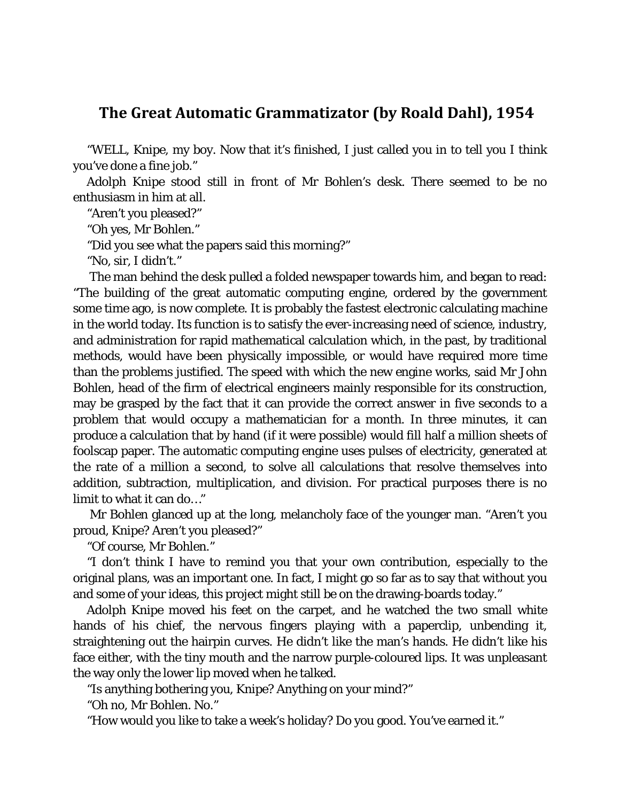## **The Great Automatic Grammatizator (by Roald Dahl), 1954**

"WELL, Knipe, my boy. Now that it's finished, I just called you in to tell you I think you've done a fine job."

Adolph Knipe stood still in front of Mr Bohlen's desk. There seemed to be no enthusiasm in him at all.

"Aren't you pleased?"

"Oh yes, Mr Bohlen."

"Did you see what the papers said this morning?"

"No, sir, I didn't."

The man behind the desk pulled a folded newspaper towards him, and began to read: "The building of the great automatic computing engine, ordered by the government some time ago, is now complete. It is probably the fastest electronic calculating machine in the world today. Its function is to satisfy the ever-increasing need of science, industry, and administration for rapid mathematical calculation which, in the past, by traditional methods, would have been physically impossible, or would have required more time than the problems justified. The speed with which the new engine works, said Mr John Bohlen, head of the firm of electrical engineers mainly responsible for its construction, may be grasped by the fact that it can provide the correct answer in five seconds to a problem that would occupy a mathematician for a month. In three minutes, it can produce a calculation that by hand (if it were possible) would fill half a million sheets of foolscap paper. The automatic computing engine uses pulses of electricity, generated at the rate of a million a second, to solve all calculations that resolve themselves into addition, subtraction, multiplication, and division. For practical purposes there is no limit to what it can do…"

Mr Bohlen glanced up at the long, melancholy face of the younger man. "Aren't you proud, Knipe? Aren't you pleased?"

"Of course, Mr Bohlen."

"I don't think I have to remind you that your own contribution, especially to the original plans, was an important one. In fact, I might go so far as to say that without you and some of your ideas, this project might still be on the drawing-boards today."

Adolph Knipe moved his feet on the carpet, and he watched the two small white hands of his chief, the nervous fingers playing with a paperclip, unbending it, straightening out the hairpin curves. He didn't like the man's hands. He didn't like his face either, with the tiny mouth and the narrow purple-coloured lips. It was unpleasant the way only the lower lip moved when he talked.

"Is anything bothering you, Knipe? Anything on your mind?"

"Oh no, Mr Bohlen. No."

"How would you like to take a week's holiday? Do you good. You've earned it."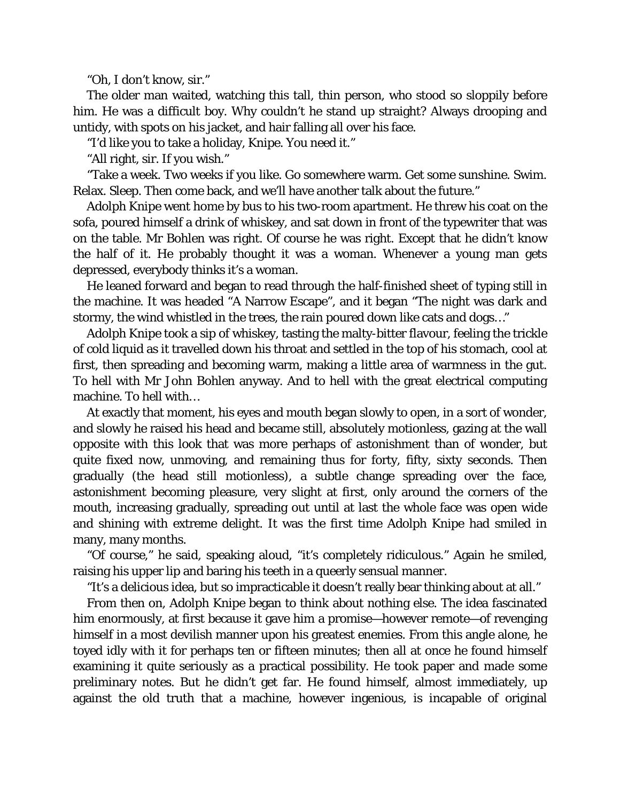"Oh, I don't know, sir."

The older man waited, watching this tall, thin person, who stood so sloppily before him. He was a difficult boy. Why couldn't he stand up straight? Always drooping and untidy, with spots on his jacket, and hair falling all over his face.

"I'd like you to take a holiday, Knipe. You need it."

"All right, sir. If you wish."

"Take a week. Two weeks if you like. Go somewhere warm. Get some sunshine. Swim. Relax. Sleep. Then come back, and we'll have another talk about the future."

Adolph Knipe went home by bus to his two-room apartment. He threw his coat on the sofa, poured himself a drink of whiskey, and sat down in front of the typewriter that was on the table. Mr Bohlen was right. Of course he was right. Except that he didn't know the half of it. He probably thought it was a woman. Whenever a young man gets depressed, everybody thinks it's a woman.

He leaned forward and began to read through the half-finished sheet of typing still in the machine. It was headed "A Narrow Escape", and it began "The night was dark and stormy, the wind whistled in the trees, the rain poured down like cats and dogs…"

Adolph Knipe took a sip of whiskey, tasting the malty-bitter flavour, feeling the trickle of cold liquid as it travelled down his throat and settled in the top of his stomach, cool at first, then spreading and becoming warm, making a little area of warmness in the gut. To hell with Mr John Bohlen anyway. And to hell with the great electrical computing machine. To hell with…

At exactly that moment, his eyes and mouth began slowly to open, in a sort of wonder, and slowly he raised his head and became still, absolutely motionless, gazing at the wall opposite with this look that was more perhaps of astonishment than of wonder, but quite fixed now, unmoving, and remaining thus for forty, fifty, sixty seconds. Then gradually (the head still motionless), a subtle change spreading over the face, astonishment becoming pleasure, very slight at first, only around the corners of the mouth, increasing gradually, spreading out until at last the whole face was open wide and shining with extreme delight. It was the first time Adolph Knipe had smiled in many, many months.

"Of course," he said, speaking aloud, "it's completely ridiculous." Again he smiled, raising his upper lip and baring his teeth in a queerly sensual manner.

"It's a delicious idea, but so impracticable it doesn't really bear thinking about at all."

From then on, Adolph Knipe began to think about nothing else. The idea fascinated him enormously, at first because it gave him a promise—however remote—of revenging himself in a most devilish manner upon his greatest enemies. From this angle alone, he toyed idly with it for perhaps ten or fifteen minutes; then all at once he found himself examining it quite seriously as a practical possibility. He took paper and made some preliminary notes. But he didn't get far. He found himself, almost immediately, up against the old truth that a machine, however ingenious, is incapable of original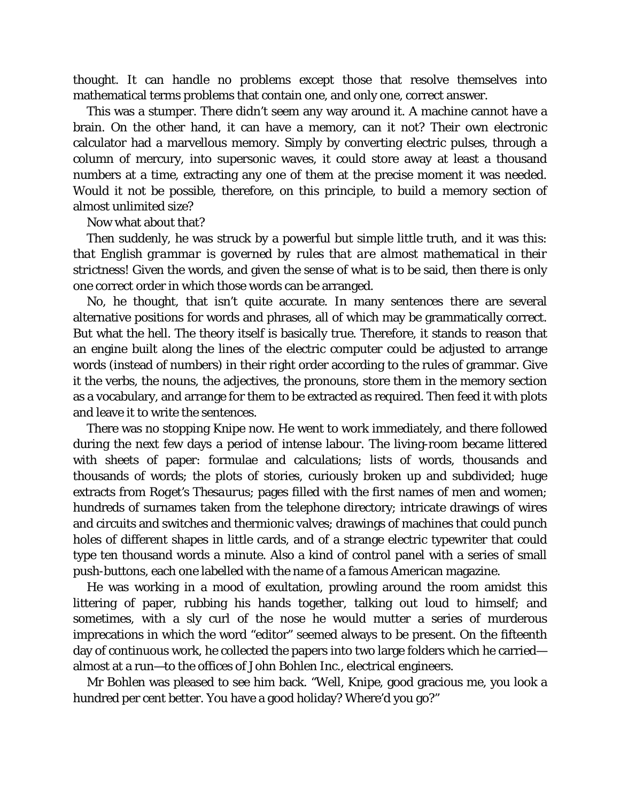thought. It can handle no problems except those that resolve themselves into mathematical terms problems that contain one, and only one, correct answer.

This was a stumper. There didn't seem any way around it. A machine cannot have a brain. On the other hand, it can have a memory, can it not? Their own electronic calculator had a marvellous memory. Simply by converting electric pulses, through a column of mercury, into supersonic waves, it could store away at least a thousand numbers at a time, extracting any one of them at the precise moment it was needed. Would it not be possible, therefore, on this principle, to build a memory section of almost unlimited size?

Now what about that?

Then suddenly, he was struck by a powerful but simple little truth, and it was this: *that English grammar is governed by rules that are almost mathematical in their strictness!* Given the words, and given the sense of what is to be said, then there is only one correct order in which those words can be arranged.

No, he thought, that isn't quite accurate. In many sentences there are several alternative positions for words and phrases, all of which may be grammatically correct. But what the hell. The theory itself is basically true. Therefore, it stands to reason that an engine built along the lines of the electric computer could be adjusted to arrange words (instead of numbers) in their right order according to the rules of grammar. Give it the verbs, the nouns, the adjectives, the pronouns, store them in the memory section as a vocabulary, and arrange for them to be extracted as required. Then feed it with plots and leave it to write the sentences.

There was no stopping Knipe now. He went to work immediately, and there followed during the next few days a period of intense labour. The living-room became littered with sheets of paper: formulae and calculations; lists of words, thousands and thousands of words; the plots of stories, curiously broken up and subdivided; huge extracts from *Roget's Thesaurus*; pages filled with the first names of men and women; hundreds of surnames taken from the telephone directory; intricate drawings of wires and circuits and switches and thermionic valves; drawings of machines that could punch holes of different shapes in little cards, and of a strange electric typewriter that could type ten thousand words a minute. Also a kind of control panel with a series of small push-buttons, each one labelled with the name of a famous American magazine.

He was working in a mood of exultation, prowling around the room amidst this littering of paper, rubbing his hands together, talking out loud to himself; and sometimes, with a sly curl of the nose he would mutter a series of murderous imprecations in which the word "editor" seemed always to be present. On the fifteenth day of continuous work, he collected the papers into two large folders which he carried almost at a run—to the offices of John Bohlen Inc., electrical engineers.

Mr Bohlen was pleased to see him back. "Well, Knipe, good gracious me, you look a hundred per cent better. You have a good holiday? Where'd you go?"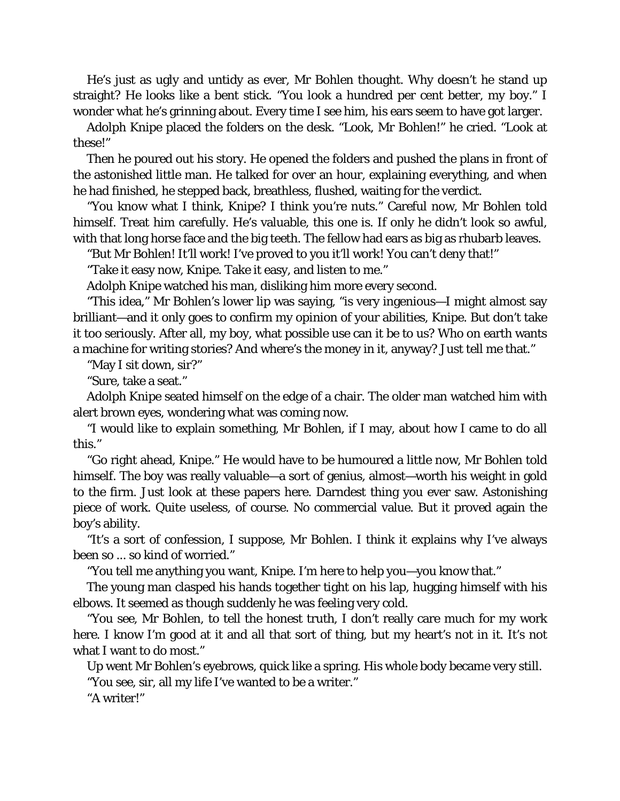He's just as ugly and untidy as ever, Mr Bohlen thought. Why doesn't he stand up straight? He looks like a bent stick. "You look a hundred per cent better, my boy." I wonder what he's grinning about. Every time I see him, his ears seem to have got larger.

Adolph Knipe placed the folders on the desk. "Look, Mr Bohlen!" he cried. "Look at these!"

Then he poured out his story. He opened the folders and pushed the plans in front of the astonished little man. He talked for over an hour, explaining everything, and when he had finished, he stepped back, breathless, flushed, waiting for the verdict.

"You know what I think, Knipe? I think you're nuts." Careful now, Mr Bohlen told himself. Treat him carefully. He's valuable, this one is. If only he didn't look so awful, with that long horse face and the big teeth. The fellow had ears as big as rhubarb leaves.

"But Mr Bohlen! It'll work! I've proved to you it'll work! You can't deny that!"

"Take it easy now, Knipe. Take it easy, and listen to me."

Adolph Knipe watched his man, disliking him more every second.

"This idea," Mr Bohlen's lower lip was saying, "is very ingenious—I might almost say brilliant—and it only goes to confirm my opinion of your abilities, Knipe. But don't take it too seriously. After all, my boy, what possible use can it be to us? Who on earth wants a machine for writing stories? And where's the money in it, anyway? Just tell me that."

"May I sit down, sir?"

"Sure, take a seat."

Adolph Knipe seated himself on the edge of a chair. The older man watched him with alert brown eyes, wondering what was coming now.

"I would like to explain something, Mr Bohlen, if I may, about how I came to do all this."

"Go right ahead, Knipe." He would have to be humoured a little now, Mr Bohlen told himself. The boy was really valuable—a sort of genius, almost—worth his weight in gold to the firm. Just look at these papers here. Darndest thing you ever saw. Astonishing piece of work. Quite useless, of course. No commercial value. But it proved again the boy's ability.

"It's a sort of confession, I suppose, Mr Bohlen. I think it explains why I've always been so ... so kind of worried."

"You tell me anything you want, Knipe. I'm here to help you—you know that."

The young man clasped his hands together tight on his lap, hugging himself with his elbows. It seemed as though suddenly he was feeling very cold.

"You see, Mr Bohlen, to tell the honest truth, I don't really care much for my work here. I know I'm good at it and all that sort of thing, but my heart's not in it. It's not what I want to do most."

Up went Mr Bohlen's eyebrows, quick like a spring. His whole body became very still.

"You see, sir, all my life I've wanted to be a writer."

"A writer!"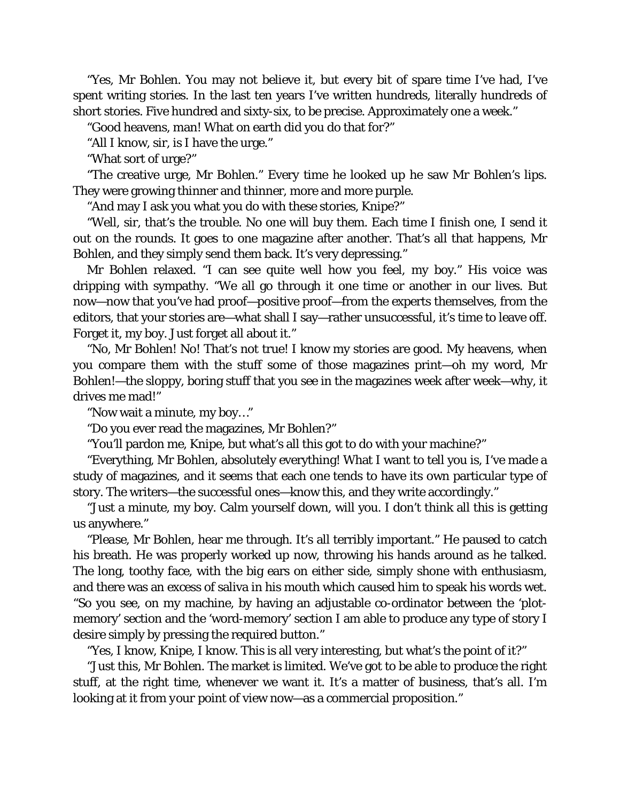"Yes, Mr Bohlen. You may not believe it, but every bit of spare time I've had, I've spent writing stories. In the last ten years I've written hundreds, literally hundreds of short stories. Five hundred and sixty-six, to be precise. Approximately one a week."

"Good heavens, man! What on earth did you do that for?"

"All I know, sir, is I have the urge."

"What sort of urge?"

"The creative urge, Mr Bohlen." Every time he looked up he saw Mr Bohlen's lips. They were growing thinner and thinner, more and more purple.

"And may I ask you what you do with these stories, Knipe?"

"Well, sir, that's the trouble. No one will buy them. Each time I finish one, I send it out on the rounds. It goes to one magazine after another. That's all that happens, Mr Bohlen, and they simply send them back. It's very depressing."

Mr Bohlen relaxed. "I can see quite well how you feel, my boy." His voice was dripping with sympathy. "We all go through it one time or another in our lives. But now—now that you've had proof—positive proof—from the experts themselves, from the editors, that your stories are—what shall I say—rather unsuccessful, it's time to leave off. Forget it, my boy. Just forget all about it."

"No, Mr Bohlen! No! That's not true! I know my stories are good. My heavens, when you compare them with the stuff some of those magazines print—oh my word, Mr Bohlen!—the sloppy, boring stuff that you see in the magazines week after week—why, it drives me mad!"

"Now wait a minute, my boy…"

"Do you ever read the magazines, Mr Bohlen?"

"You'll pardon me, Knipe, but what's all this got to do with your machine?"

"Everything, Mr Bohlen, absolutely everything! What I want to tell you is, I've made a study of magazines, and it seems that each one tends to have its own particular type of story. The writers—the successful ones—know this, and they write accordingly."

"Just a minute, my boy. Calm yourself down, will you. I don't think all this is getting us anywhere."

"*Please*, Mr Bohlen, hear me through. It's all terribly important." He paused to catch his breath. He was properly worked up now, throwing his hands around as he talked. The long, toothy face, with the big ears on either side, simply shone with enthusiasm, and there was an excess of saliva in his mouth which caused him to speak his words wet. "So you see, on my machine, by having an adjustable co-ordinator between the 'plotmemory' section and the 'word-memory' section I am able to produce any type of story I desire simply by pressing the required button."

"Yes, I know, Knipe, I know. This is all very interesting, but what's the point of it?"

"Just this, Mr Bohlen. The market is limited. We've got to be able to produce the right stuff, at the right time, whenever we want it. It's a matter of business, that's all. I'm looking at it from *your* point of view now—as a commercial proposition."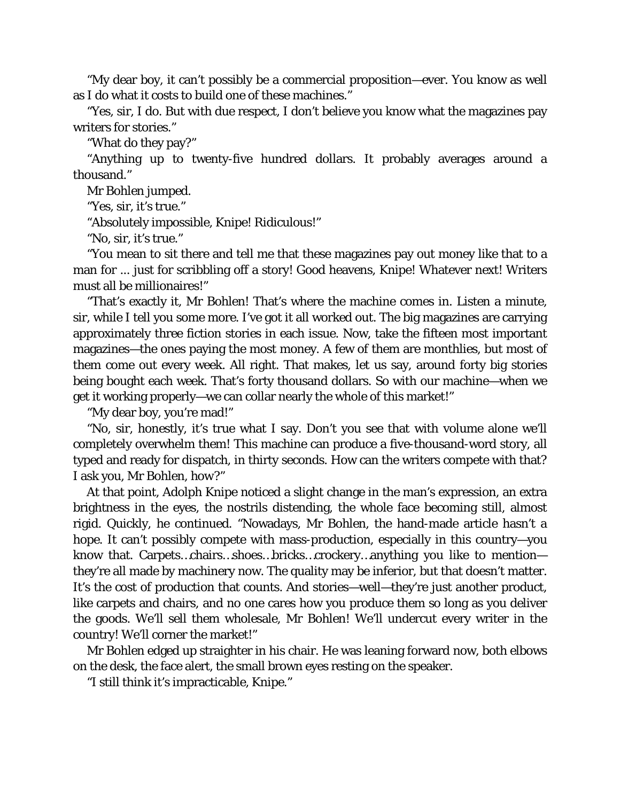"My dear boy, it can't possibly be a commercial proposition—ever. You know as well as I do what it costs to build one of these machines."

"Yes, sir, I do. But with due respect, I don't believe you know what the magazines pay writers for stories."

"What do they pay?"

"Anything up to twenty-five hundred dollars. It probably averages around a thousand."

Mr Bohlen jumped.

"Yes, sir, it's true."

"Absolutely impossible, Knipe! Ridiculous!"

"No, sir, it's true."

"You mean to sit there and tell me that these magazines pay out money like that to a man for ... just for scribbling off a story! Good heavens, Knipe! Whatever next! Writers must all be millionaires!"

"That's exactly it, Mr Bohlen! That's where the machine comes in. Listen a minute, sir, while I tell you some more. I've got it all worked out. The big magazines are carrying approximately three fiction stories in each issue. Now, take the fifteen most important magazines—the ones paying the most money. A few of them are monthlies, but most of them come out every week. All right. That makes, let us say, around forty big stories being bought each week. That's forty thousand dollars. So with our machine—when we get it working properly—we can collar nearly the whole of this market!"

"My dear boy, you're mad!"

"No, sir, honestly, it's true what I say. Don't you see that with volume alone we'll completely overwhelm them! This machine can produce a five-thousand-word story, all typed and ready for dispatch, in thirty seconds. How can the writers compete with that? I ask you, Mr Bohlen, *how*?"

At that point, Adolph Knipe noticed a slight change in the man's expression, an extra brightness in the eyes, the nostrils distending, the whole face becoming still, almost rigid. Quickly, he continued. "Nowadays, Mr Bohlen, the hand-made article hasn't a hope. It can't possibly compete with mass-production, especially in this country—you know that. Carpets…chairs…shoes…bricks…crockery…anything you like to mention they're all made by machinery now. The quality may be inferior, but that doesn't matter. It's the cost of production that counts. And stories—well—they're just another product, like carpets and chairs, and no one cares how you produce them so long as you deliver the goods. We'll sell them wholesale, Mr Bohlen! We'll undercut every writer in the country! We'll corner the market!"

Mr Bohlen edged up straighter in his chair. He was leaning forward now, both elbows on the desk, the face alert, the small brown eyes resting on the speaker.

"I still think it's impracticable, Knipe."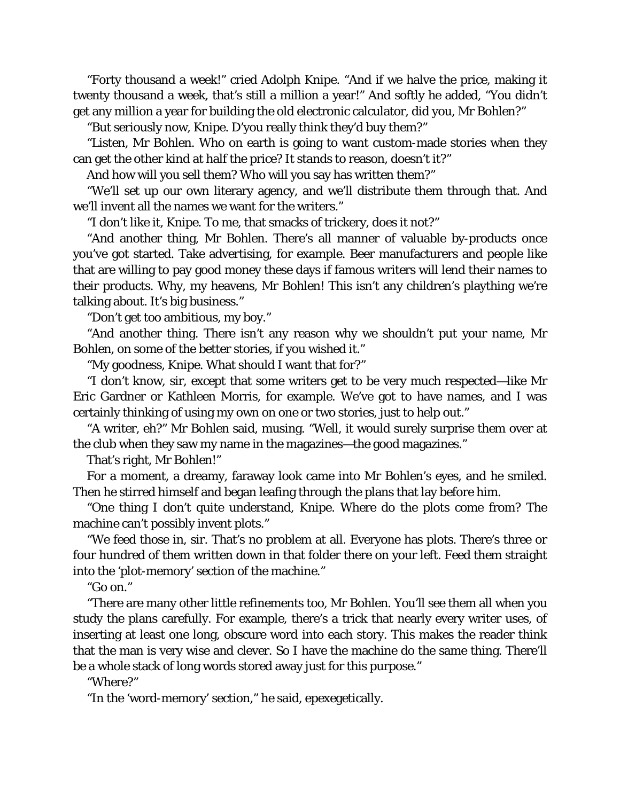"Forty thousand a week!" cried Adolph Knipe. "And if we halve the price, making it twenty thousand a week, that's still a million a year!" And softly he added, "You didn't get any million a year for building the old electronic calculator, did you, Mr Bohlen?"

"But seriously now, Knipe. D'you really think they'd buy them?"

"Listen, Mr Bohlen. Who on earth is going to want custom-made stories when they can get the other kind at half the price? It stands to reason, doesn't it?"

And how will you sell them? Who will you say has written them?"

"We'll set up our own literary agency, and we'll distribute them through that. And we'll invent all the names we want for the writers."

"I don't like it, Knipe. To me, that smacks of trickery, does it not?"

"And another thing, Mr Bohlen. There's all manner of valuable by-products once you've got started. Take advertising, for example. Beer manufacturers and people like that are willing to pay good money these days if famous writers will lend their names to their products. Why, my heavens, Mr Bohlen! This isn't any children's plaything we're talking about. It's big business."

"Don't get too ambitious, my boy."

"And another thing. There isn't any reason why we shouldn't put your name, Mr Bohlen, on some of the better stories, if you wished it."

"My goodness, Knipe. What should I want that for?"

"I don't know, sir, except that some writers get to be very much respected—like Mr Eric Gardner or Kathleen Morris, for example. We've got to have names, and I was certainly thinking of using my own on one or two stories, just to help out."

"A writer, eh?" Mr Bohlen said, musing. "Well, it would surely surprise them over at the club when they saw my name in the magazines—the good magazines."

That's right, Mr Bohlen!"

For a moment, a dreamy, faraway look came into Mr Bohlen's eyes, and he smiled. Then he stirred himself and began leafing through the plans that lay before him.

"One thing I don't quite understand, Knipe. Where do the plots come from? The machine can't possibly invent plots."

"We feed those in, sir. That's no problem at all. Everyone has plots. There's three or four hundred of them written down in that folder there on your left. Feed them straight into the 'plot-memory' section of the machine."

"Go on."

"There are many other little refinements too, Mr Bohlen. You'll see them all when you study the plans carefully. For example, there's a trick that nearly every writer uses, of inserting at least one long, obscure word into each story. This makes the reader think that the man is very wise and clever. So I have the machine do the same thing. There'll be a whole stack of long words stored away just for this purpose."

"Where?"

"In the 'word-memory' section," he said, epexegetically.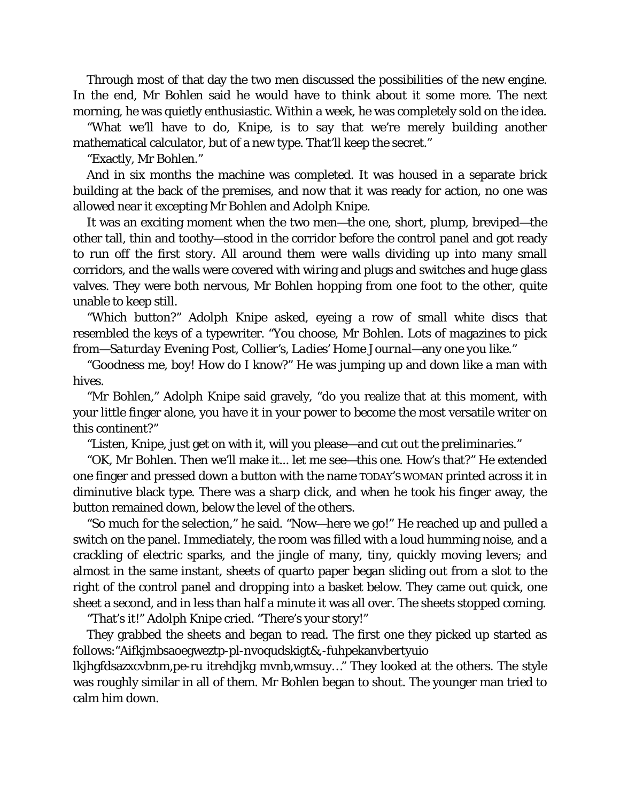Through most of that day the two men discussed the possibilities of the new engine. In the end, Mr Bohlen said he would have to think about it some more. The next morning, he was quietly enthusiastic. Within a week, he was completely sold on the idea.

"What we'll have to do, Knipe, is to say that we're merely building another mathematical calculator, but of a new type. That'll keep the secret."

"Exactly, Mr Bohlen."

And in six months the machine was completed. It was housed in a separate brick building at the back of the premises, and now that it was ready for action, no one was allowed near it excepting Mr Bohlen and Adolph Knipe.

It was an exciting moment when the two men—the one, short, plump, breviped—the other tall, thin and toothy—stood in the corridor before the control panel and got ready to run off the first story. All around them were walls dividing up into many small corridors, and the walls were covered with wiring and plugs and switches and huge glass valves. They were both nervous, Mr Bohlen hopping from one foot to the other, quite unable to keep still.

"Which button?" Adolph Knipe asked, eyeing a row of small white discs that resembled the keys of a typewriter. "You choose, Mr Bohlen. Lots of magazines to pick from—*Saturday Evening Post, Collier's, Ladies' Home Journal*—any one you like."

"Goodness me, boy! How do I know?" He was jumping up and down like a man with hives.

"Mr Bohlen," Adolph Knipe said gravely, "do you realize that at this moment, with your little finger alone, you have it in your power to become the most versatile writer on this continent?"

"Listen, Knipe, just get on with it, will you please—and cut out the preliminaries."

"OK, Mr Bohlen. Then we'll make it... let me see—this one. How's that?" He extended one finger and pressed down a button with the name TODAY'S WOMAN printed across it in diminutive black type. There was a sharp click, and when he took his finger away, the button remained down, below the level of the others.

"So much for the selection," he said. "Now—here we go!" He reached up and pulled a switch on the panel. Immediately, the room was filled with a loud humming noise, and a crackling of electric sparks, and the jingle of many, tiny, quickly moving levers; and almost in the same instant, sheets of quarto paper began sliding out from a slot to the right of the control panel and dropping into a basket below. They came out quick, one sheet a second, and in less than half a minute it was all over. The sheets stopped coming.

"That's it!" Adolph Knipe cried. "There's your story!"

They grabbed the sheets and began to read. The first one they picked up started as follows:"Aifkjmbsaoegweztp-pl-nvoqudskigt&,-fuhpekanvbertyuio

lkjhgfdsazxcvbnm,pe-ru itrehdjkg mvnb,wmsuy…" They looked at the others. The style was roughly similar in all of them. Mr Bohlen began to shout. The younger man tried to calm him down.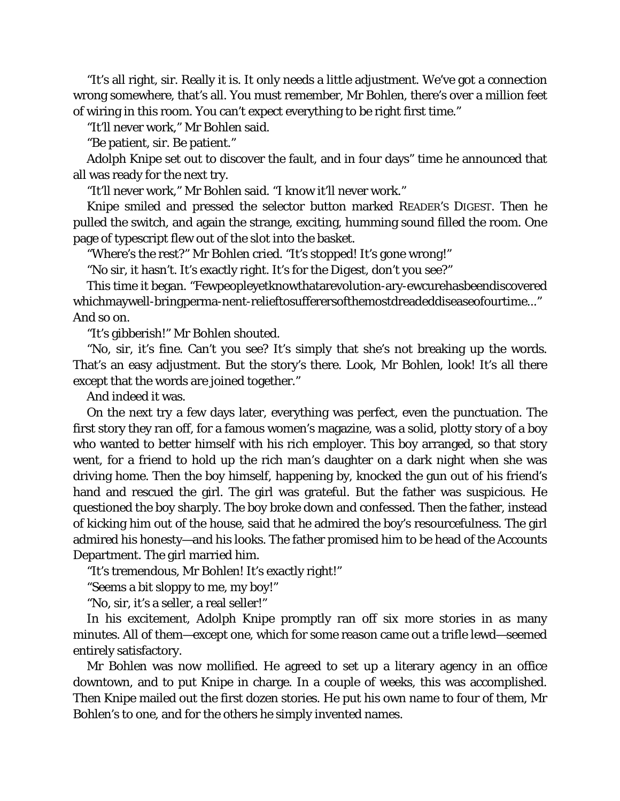"It's all right, sir. Really it is. It only needs a little adjustment. We've got a connection wrong somewhere, that's all. You must remember, Mr Bohlen, there's over a million feet of wiring in this room. You can't expect everything to be right first time."

"It'll never work," Mr Bohlen said.

"Be patient, sir. Be patient."

Adolph Knipe set out to discover the fault, and in four days" time he announced that all was ready for the next try.

"It'll never work," Mr Bohlen said. "I know it'll never work."

Knipe smiled and pressed the selector button marked READER'S DIGEST. Then he pulled the switch, and again the strange, exciting, humming sound filled the room. One page of typescript flew out of the slot into the basket.

"Where's the rest?" Mr Bohlen cried. "It's stopped! It's gone wrong!"

"No sir, it hasn't. It's exactly right. It's for the *Digest*, don't you see?"

This time it began. "Fewpeopleyetknowthatarevolution-ary-ewcurehasbeendiscovered whichmaywell-bringperma-nent-relieftosufferersofthemostdreadeddiseaseofourtime..." And so on.

"It's gibberish!" Mr Bohlen shouted.

"No, sir, it's fine. Can't you see? It's simply that she's not breaking up the words. That's an easy adjustment. But the story's there. Look, Mr Bohlen, look! It's all there except that the words are joined together."

And indeed it was.

On the next try a few days later, everything was perfect, even the punctuation. The first story they ran off, for a famous women's magazine, was a solid, plotty story of a boy who wanted to better himself with his rich employer. This boy arranged, so that story went, for a friend to hold up the rich man's daughter on a dark night when she was driving home. Then the boy himself, happening by, knocked the gun out of his friend's hand and rescued the girl. The girl was grateful. But the father was suspicious. He questioned the boy sharply. The boy broke down and confessed. Then the father, instead of kicking him out of the house, said that he admired the boy's resourcefulness. The girl admired his honesty—and his looks. The father promised him to be head of the Accounts Department. The girl married him.

"It's tremendous, Mr Bohlen! It's exactly right!"

"Seems a bit sloppy to me, my boy!"

"No, sir, it's a seller, a real seller!"

In his excitement, Adolph Knipe promptly ran off six more stories in as many minutes. All of them—except one, which for some reason came out a trifle lewd—seemed entirely satisfactory.

Mr Bohlen was now mollified. He agreed to set up a literary agency in an office downtown, and to put Knipe in charge. In a couple of weeks, this was accomplished. Then Knipe mailed out the first dozen stories. He put his own name to four of them, Mr Bohlen's to one, and for the others he simply invented names.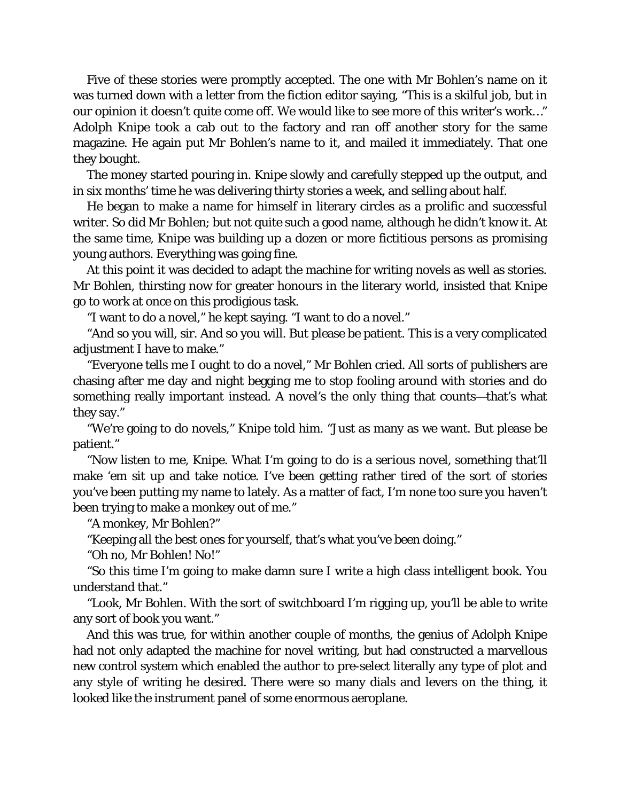Five of these stories were promptly accepted. The one with Mr Bohlen's name on it was turned down with a letter from the fiction editor saying, "This is a skilful job, but in our opinion it doesn't quite come off. We would like to see more of this writer's work…" Adolph Knipe took a cab out to the factory and ran off another story for the same magazine. He again put Mr Bohlen's name to it, and mailed it immediately. That one they bought.

The money started pouring in. Knipe slowly and carefully stepped up the output, and in six months' time he was delivering thirty stories a week, and selling about half.

He began to make a name for himself in literary circles as a prolific and successful writer. So did Mr Bohlen; but not quite such a good name, although he didn't know it. At the same time, Knipe was building up a dozen or more fictitious persons as promising young authors. Everything was going fine.

At this point it was decided to adapt the machine for writing novels as well as stories. Mr Bohlen, thirsting now for greater honours in the literary world, insisted that Knipe go to work at once on this prodigious task.

"I want to do a novel," he kept saying. "I want to do a novel."

"And so you will, sir. And so you will. But please be patient. This is a very complicated adjustment I have to make."

"Everyone tells me I ought to do a novel," Mr Bohlen cried. All sorts of publishers are chasing after me day and night begging me to stop fooling around with stories and do something really important instead. A novel's the only thing that counts—that's what they say."

"We're going to do novels," Knipe told him. "Just as many as we want. But please be patient."

"Now listen to me, Knipe. What I'm going to do is a *serious* novel, something that'll make 'em sit up and take notice. I've been getting rather tired of the sort of stories you've been putting my name to lately. As a matter of fact, I'm none too sure you haven't been trying to make a monkey out of me."

"A monkey, Mr Bohlen?"

"Keeping all the best ones for yourself, that's what you've been doing."

"Oh no, Mr Bohlen! No!"

"So this time I'm going to make damn sure I write a high class intelligent book. You understand that."

"Look, Mr Bohlen. With the sort of switchboard I'm rigging up, you'll be able to write any sort of book you want."

And this was true, for within another couple of months, the genius of Adolph Knipe had not only adapted the machine for novel writing, but had constructed a marvellous new control system which enabled the author to pre-select literally any type of plot and any style of writing he desired. There were so many dials and levers on the thing, it looked like the instrument panel of some enormous aeroplane.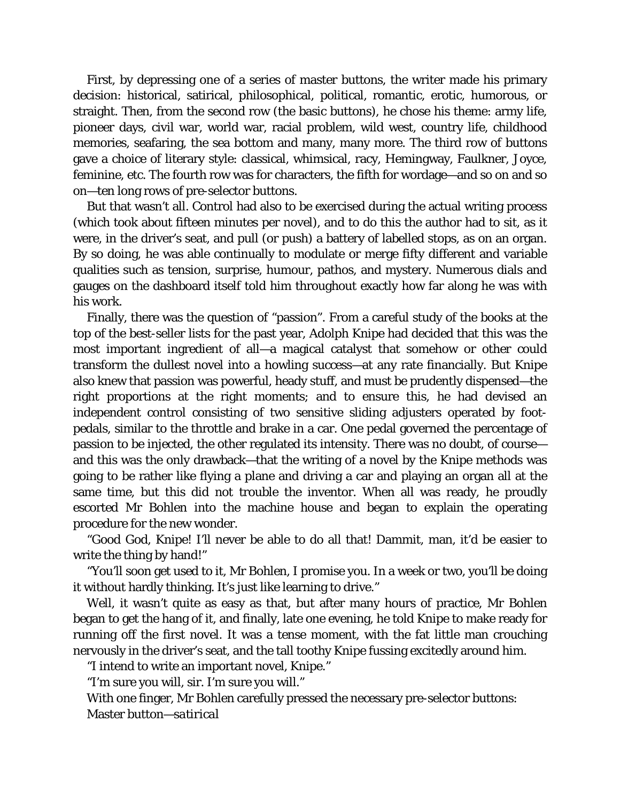First, by depressing one of a series of master buttons, the writer made his primary decision: historical, satirical, philosophical, political, romantic, erotic, humorous, or straight. Then, from the second row (the basic buttons), he chose his theme: army life, pioneer days, civil war, world war, racial problem, wild west, country life, childhood memories, seafaring, the sea bottom and many, many more. The third row of buttons gave a choice of literary style: classical, whimsical, racy, Hemingway, Faulkner, Joyce, feminine, etc. The fourth row was for characters, the fifth for wordage—and so on and so on—ten long rows of pre-selector buttons.

But that wasn't all. Control had also to be exercised during the actual writing process (which took about fifteen minutes per novel), and to do this the author had to sit, as it were, in the driver's seat, and pull (or push) a battery of labelled stops, as on an organ. By so doing, he was able continually to modulate or merge fifty different and variable qualities such as tension, surprise, humour, pathos, and mystery. Numerous dials and gauges on the dashboard itself told him throughout exactly how far along he was with his work.

Finally, there was the question of "passion". From a careful study of the books at the top of the best-seller lists for the past year, Adolph Knipe had decided that this was the most important ingredient of all—a magical catalyst that somehow or other could transform the dullest novel into a howling success—at any rate financially. But Knipe also knew that passion was powerful, heady stuff, and must be prudently dispensed—the right proportions at the right moments; and to ensure this, he had devised an independent control consisting of two sensitive sliding adjusters operated by footpedals, similar to the throttle and brake in a car. One pedal governed the percentage of passion to be injected, the other regulated its intensity. There was no doubt, of course and this was the only drawback—that the writing of a novel by the Knipe methods was going to be rather like flying a plane and driving a car and playing an organ all at the same time, but this did not trouble the inventor. When all was ready, he proudly escorted Mr Bohlen into the machine house and began to explain the operating procedure for the new wonder.

"Good God, Knipe! I'll never be able to do all that! Dammit, man, it'd be easier to write the thing by hand!"

"You'll soon get used to it, Mr Bohlen, I promise you. In a week or two, you'll be doing it without hardly thinking. It's just like learning to drive."

Well, it wasn't quite as easy as that, but after many hours of practice, Mr Bohlen began to get the hang of it, and finally, late one evening, he told Knipe to make ready for running off the first novel. It was a tense moment, with the fat little man crouching nervously in the driver's seat, and the tall toothy Knipe fussing excitedly around him.

"I intend to write an important novel, Knipe."

"I'm sure you will, sir. I'm sure you will."

With one finger, Mr Bohlen carefully pressed the necessary pre-selector buttons:

Master button—*satirical*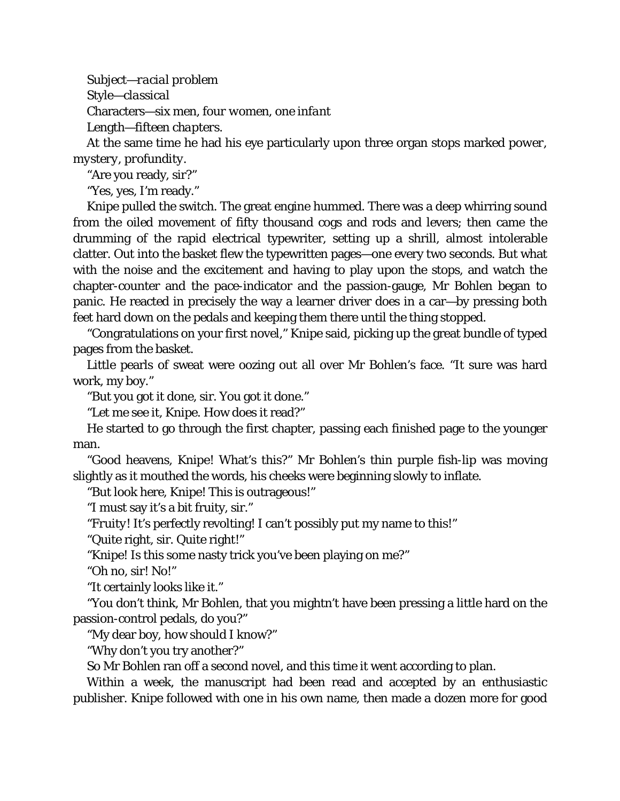Subject—*racial problem* Style—*classical*

Characters—*six men, four women, one infant*

Length—*fifteen chapters.*

At the same time he had his eye particularly upon three organ stops marked *power, mystery, profundity*.

"Are you ready, sir?"

"Yes, yes, I'm ready."

Knipe pulled the switch. The great engine hummed. There was a deep whirring sound from the oiled movement of fifty thousand cogs and rods and levers; then came the drumming of the rapid electrical typewriter, setting up a shrill, almost intolerable clatter. Out into the basket flew the typewritten pages—one every two seconds. But what with the noise and the excitement and having to play upon the stops, and watch the chapter-counter and the pace-indicator and the passion-gauge, Mr Bohlen began to panic. He reacted in precisely the way a learner driver does in a car—by pressing both feet hard down on the pedals and keeping them there until the thing stopped.

"Congratulations on your first novel," Knipe said, picking up the great bundle of typed pages from the basket.

Little pearls of sweat were oozing out all over Mr Bohlen's face. "It sure was hard work, my boy."

"But you got it done, sir. You got it done."

"Let me see it, Knipe. How does it read?"

He started to go through the first chapter, passing each finished page to the younger man.

"Good heavens, Knipe! What's this?" Mr Bohlen's thin purple fish-lip was moving slightly as it mouthed the words, his cheeks were beginning slowly to inflate.

"But look here, Knipe! This is outrageous!"

"I must say it's a bit fruity, sir."

"*Fruity*! It's perfectly revolting! I can't possibly put my name to this!"

"Quite right, sir. Quite right!"

"Knipe! Is this some nasty trick you've been playing on me?"

"Oh no, sir! No!"

"It certainly looks like it."

"You don't think, Mr Bohlen, that you mightn't have been pressing a little hard on the passion-control pedals, do you?"

"My dear boy, how should *I* know?"

"Why don't you try another?"

So Mr Bohlen ran off a second novel, and this time it went according to plan.

Within a week, the manuscript had been read and accepted by an enthusiastic publisher. Knipe followed with one in his own name, then made a dozen more for good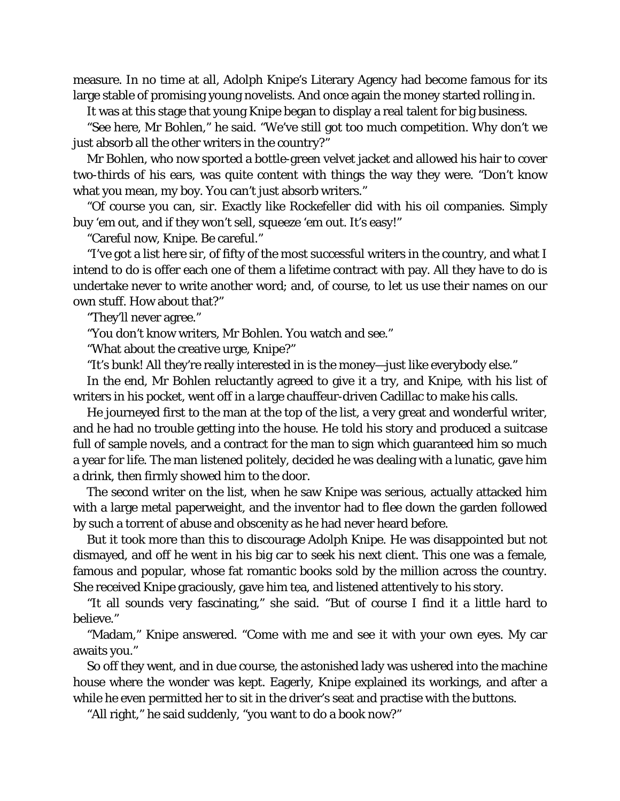measure. In no time at all, Adolph Knipe's Literary Agency had become famous for its large stable of promising young novelists. And once again the money started rolling in.

It was at this stage that young Knipe began to display a real talent for big business.

"See here, Mr Bohlen," he said. "We've still got too much competition. Why don't we just absorb all the other writers in the country?"

Mr Bohlen, who now sported a bottle-green velvet jacket and allowed his hair to cover two-thirds of his ears, was quite content with things the way they were. "Don't know what you mean, my boy. You can't just absorb writers."

"Of course you can, sir. Exactly like Rockefeller did with his oil companies. Simply buy 'em out, and if they won't sell, squeeze 'em out. It's easy!"

"Careful now, Knipe. Be careful."

"I've got a list here sir, of fifty of the most successful writers in the country, and what I intend to do is offer each one of them a lifetime contract with pay. All they have to do is undertake never to write another word; and, of course, to let us use their names on our own stuff. How about that?"

"They'll never agree."

"You don't know writers, Mr Bohlen. You watch and see."

"What about the creative urge, Knipe?"

"It's bunk! All they're really interested in is the money—just like everybody else."

In the end, Mr Bohlen reluctantly agreed to give it a try, and Knipe, with his list of writers in his pocket, went off in a large chauffeur-driven Cadillac to make his calls.

He journeyed first to the man at the top of the list, a very great and wonderful writer, and he had no trouble getting into the house. He told his story and produced a suitcase full of sample novels, and a contract for the man to sign which guaranteed him so much a year for life. The man listened politely, decided he was dealing with a lunatic, gave him a drink, then firmly showed him to the door.

The second writer on the list, when he saw Knipe was serious, actually attacked him with a large metal paperweight, and the inventor had to flee down the garden followed by such a torrent of abuse and obscenity as he had never heard before.

But it took more than this to discourage Adolph Knipe. He was disappointed but not dismayed, and off he went in his big car to seek his next client. This one was a female, famous and popular, whose fat romantic books sold by the million across the country. She received Knipe graciously, gave him tea, and listened attentively to his story.

"It all sounds very fascinating," she said. "But of course I find it a little hard to believe."

"Madam," Knipe answered. "Come with me and see it with your own eyes. My car awaits you."

So off they went, and in due course, the astonished lady was ushered into the machine house where the wonder was kept. Eagerly, Knipe explained its workings, and after a while he even permitted her to sit in the driver's seat and practise with the buttons.

"All right," he said suddenly, "you want to do a book now?"